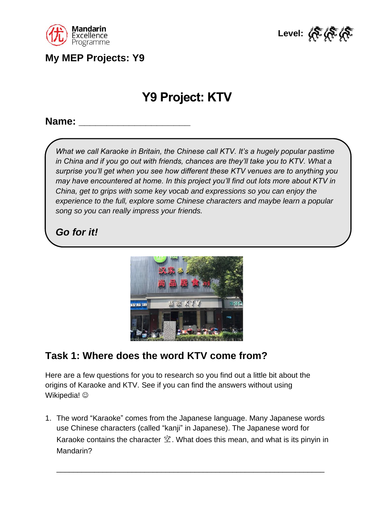

**My MEP Projects: Y9**



# **Y9 Project: KTV**

**Name: \_\_\_\_\_\_\_\_\_\_\_\_\_\_\_\_\_\_\_\_**

*What we call Karaoke in Britain, the Chinese call KTV. It's a hugely popular pastime*  in China and if you go out with friends, chances are they'll take you to KTV. What a *surprise you'll get when you see how different these KTV venues are to anything you may have encountered at home. In this project you'll find out lots more about KTV in China, get to grips with some key vocab and expressions so you can enjoy the experience to the full, explore some Chinese characters and maybe learn a popular song so you can really impress your friends.*

## *Go for it!*



## **Task 1: Where does the word KTV come from?**

Here are a few questions for you to research so you find out a little bit about the origins of Karaoke and KTV. See if you can find the answers without using Wikipedia!  $\odot$ 

1. The word "Karaoke" comes from the Japanese language. Many Japanese words use Chinese characters (called "kanji" in Japanese). The Japanese word for Karaoke contains the character  $\hat{\mathfrak{X}}$ . What does this mean, and what is its pinyin in Mandarin?

\_\_\_\_\_\_\_\_\_\_\_\_\_\_\_\_\_\_\_\_\_\_\_\_\_\_\_\_\_\_\_\_\_\_\_\_\_\_\_\_\_\_\_\_\_\_\_\_\_\_\_\_\_\_\_\_\_\_\_\_\_\_\_\_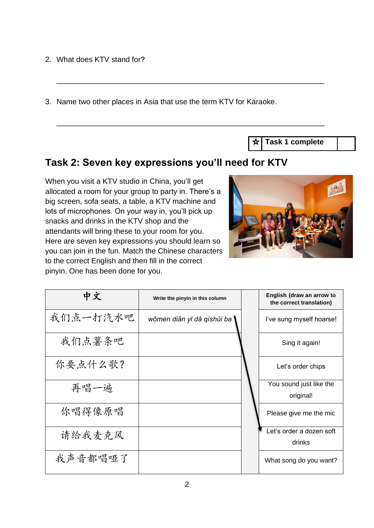2. What does KTV stand for?

3. Name two other places in Asia that use the term KTV for Karaoke.

\_\_\_\_\_\_\_\_\_\_\_\_\_\_\_\_\_\_\_\_\_\_\_\_\_\_\_\_\_\_\_\_\_\_\_\_\_\_\_\_\_\_\_\_\_\_\_\_\_\_\_\_\_\_\_\_\_\_\_\_\_\_\_\_

\_\_\_\_\_\_\_\_\_\_\_\_\_\_\_\_\_\_\_\_\_\_\_\_\_\_\_\_\_\_\_\_\_\_\_\_\_\_\_\_\_\_\_\_\_\_\_\_\_\_\_\_\_\_\_\_\_\_\_\_\_\_\_\_

**Task 1 complete**

#### **Task 2: Seven key expressions you'll need for KTV**

When you visit a KTV studio in China, you'll get allocated a room for your group to party in. There's a big screen, sofa seats, a table, a KTV machine and lots of microphones. On your way in, you'll pick up snacks and drinks in the KTV shop and the attendants will bring these to your room for you. Here are seven key expressions you should learn so you can join in the fun. Match the Chinese characters to the correct English and then fill in the correct pinyin. One has been done for you.



| 中文       | Write the pinyin in this column | English (draw an arrow to<br>the correct translation) |
|----------|---------------------------------|-------------------------------------------------------|
| 我们点一打汽水吧 | wǒmen diǎn yī dǎ qìshǔi ba \    | I've sung myself hoarse!                              |
| 我们点薯条吧   |                                 | Sing it again!                                        |
| 你要点什么歌?  |                                 | Let's order chips                                     |
| 再唱一遍     |                                 | You sound just like the<br>original!                  |
| 你唱得像原唱   |                                 | Please give me the mic                                |
| 请给我麦克风   |                                 | Let's order a dozen soft<br>drinks                    |
| 我声音都唱哑了  |                                 | What song do you want?                                |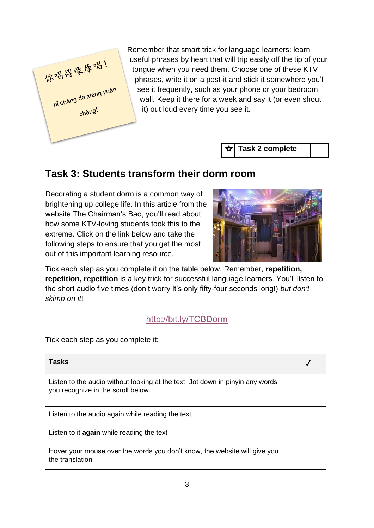

Remember that smart trick for language learners: learn useful phrases by heart that will trip easily off the tip of your tongue when you need them. Choose one of these KTV phrases, write it on a post-it and stick it somewhere you'll see it frequently, such as your phone or your bedroom wall. Keep it there for a week and say it (or even shout it) out loud every time you see it.

#### ╈∣ **Task 2 complete**

#### **Task 3: Students transform their dorm room**

Decorating a student dorm is a common way of brightening up college life. In this article from the website The Chairman's Bao, you'll read about how some KTV-loving students took this to the extreme. Click on the link below and take the following steps to ensure that you get the most out of this important learning resource.



Tick each step as you complete it on the table below. Remember, **repetition, repetition, repetition** is a key trick for successful language learners. You'll listen to the short audio five times (don't worry it's only fifty-four seconds long!) *but don't skimp on it*!

#### <http://bit.ly/TCBDorm>

Tick each step as you complete it:

| Tasks                                                                                                               |  |
|---------------------------------------------------------------------------------------------------------------------|--|
| Listen to the audio without looking at the text. Jot down in pinyin any words<br>you recognize in the scroll below. |  |
| Listen to the audio again while reading the text                                                                    |  |
| Listen to it again while reading the text                                                                           |  |
| Hover your mouse over the words you don't know, the website will give you<br>the translation                        |  |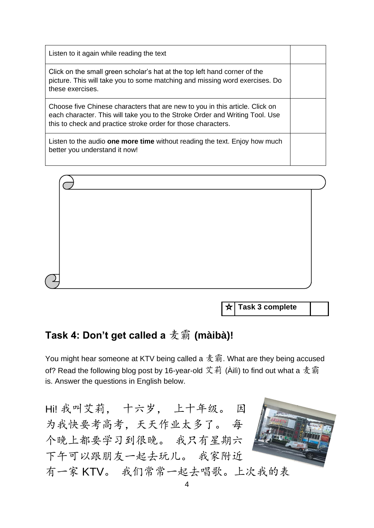| Listen to it again while reading the text                                                                                                                                                                                     |  |
|-------------------------------------------------------------------------------------------------------------------------------------------------------------------------------------------------------------------------------|--|
| Click on the small green scholar's hat at the top left hand corner of the<br>picture. This will take you to some matching and missing word exercises. Do<br>these exercises.                                                  |  |
| Choose five Chinese characters that are new to you in this article. Click on<br>each character. This will take you to the Stroke Order and Writing Tool. Use<br>this to check and practice stroke order for those characters. |  |
| Listen to the audio <b>one more time</b> without reading the text. Enjoy how much<br>better you understand it now!                                                                                                            |  |



**Task 3 complete**

# **Task 4: Don't get called a** 麦霸 **(màibà)!**

You might hear someone at KTV being called a  $\frac{1}{2}$  霸. What are they being accused of? Read the following blog post by 16-year-old 艾莉 (Àilì) to find out what a 麦霸 is. Answer the questions in English below.

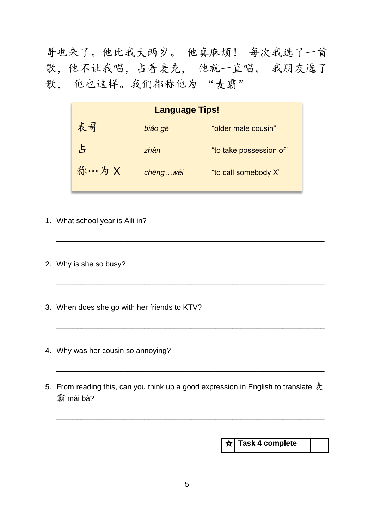哥也来了。他比我大两岁。 他真麻烦! 每次我选了一首 歌,他不让我唱,占着麦克, 他就一直唱。 我朋友选了 歌, 他也这样。我们都称他为 "麦霸"

| <b>Language Tips!</b> |          |                         |
|-----------------------|----------|-------------------------|
| 表哥                    | biăo gē  | "older male cousin"     |
| 占                     | zhàn     | "to take possession of" |
| 称…为 X                 | chēngwéi | "to call somebody X"    |

\_\_\_\_\_\_\_\_\_\_\_\_\_\_\_\_\_\_\_\_\_\_\_\_\_\_\_\_\_\_\_\_\_\_\_\_\_\_\_\_\_\_\_\_\_\_\_\_\_\_\_\_\_\_\_\_\_\_\_\_\_\_\_\_

\_\_\_\_\_\_\_\_\_\_\_\_\_\_\_\_\_\_\_\_\_\_\_\_\_\_\_\_\_\_\_\_\_\_\_\_\_\_\_\_\_\_\_\_\_\_\_\_\_\_\_\_\_\_\_\_\_\_\_\_\_\_\_\_

\_\_\_\_\_\_\_\_\_\_\_\_\_\_\_\_\_\_\_\_\_\_\_\_\_\_\_\_\_\_\_\_\_\_\_\_\_\_\_\_\_\_\_\_\_\_\_\_\_\_\_\_\_\_\_\_\_\_\_\_\_\_\_\_

\_\_\_\_\_\_\_\_\_\_\_\_\_\_\_\_\_\_\_\_\_\_\_\_\_\_\_\_\_\_\_\_\_\_\_\_\_\_\_\_\_\_\_\_\_\_\_\_\_\_\_\_\_\_\_\_\_\_\_\_\_\_\_\_

\_\_\_\_\_\_\_\_\_\_\_\_\_\_\_\_\_\_\_\_\_\_\_\_\_\_\_\_\_\_\_\_\_\_\_\_\_\_\_\_\_\_\_\_\_\_\_\_\_\_\_\_\_\_\_\_\_\_\_\_\_\_\_\_

- 1. What school year is Aili in?
- 2. Why is she so busy?
- 3. When does she go with her friends to KTV?
- 4. Why was her cousin so annoying?
- 5. From reading this, can you think up a good expression in English to translate  $\bar{\mathcal{F}}$ 霸 mài bà?

**Task 4 complete**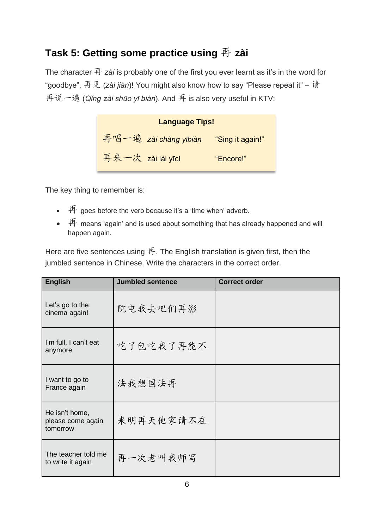## **Task 5: Getting some practice using** 再 **zài**

The character 再 *zài* is probably one of the first you ever learnt as it's in the word for "goodbye", 再见 (*zài jiàn*)! You might also know how to say "Please repeat it" – 请 再说一遍 (*Qǐng zài shūo yī biàn*). And 再 is also very useful in KTV:

| <b>Language Tips!</b>                  |           |
|----------------------------------------|-----------|
| 再唱一遍 zài chàng yībiàn "Sing it again!" |           |
| 再来一次 zài lái yīcì                      | "Encore!" |

The key thing to remember is:

- $\overline{F}$  goes before the verb because it's a 'time when' adverb.
- $\overline{a}$  means 'again' and is used about something that has already happened and will happen again.

Here are five sentences using 再. The English translation is given first, then the jumbled sentence in Chinese. Write the characters in the correct order.

| <b>English</b>                                  | <b>Jumbled sentence</b> | <b>Correct order</b> |
|-------------------------------------------------|-------------------------|----------------------|
| Let's go to the<br>cinema again!                | 院电我去吧们再影                |                      |
| I'm full, I can't eat<br>anymore                | 吃了包吃我了再能不               |                      |
| I want to go to<br>France again                 | 法我想国法再                  |                      |
| He isn't home,<br>please come again<br>tomorrow | 来明再天他家请不在               |                      |
| The teacher told me<br>to write it again        | 再一次老叫我师写                |                      |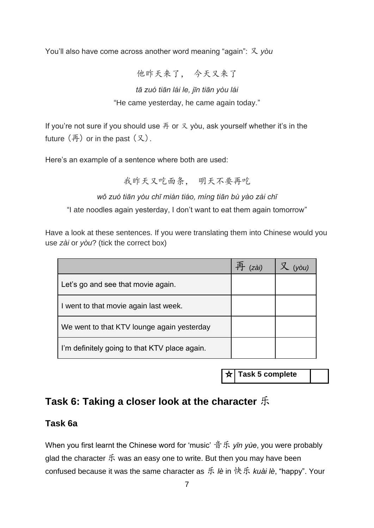You'll also have come across another word meaning "again": 又 *yòu*

他昨天来了, 今天又来了

#### *tā zuó tiān lái le, jīn tiān yòu lái* "He came yesterday, he came again today."

If you're not sure if you should use  $\overline{A}$  or  $\overline{X}$  yòu, ask yourself whether it's in the future  $(\overline{A})$  or in the past  $(\overline{X})$ .

Here's an example of a sentence where both are used:

我昨天又吃面条, 明天不要再吃

*wǒ zuó tiān yòu chī miàn tiáo, míng tiān bù yào zài chī*

"I ate noodles again yesterday, I don't want to eat them again tomorrow"

Have a look at these sentences. If you were translating them into Chinese would you use *zài* or *yòu*? (tick the correct box)

|                                               | zài) |  |
|-----------------------------------------------|------|--|
| Let's go and see that movie again.            |      |  |
| I went to that movie again last week.         |      |  |
| We went to that KTV lounge again yesterday    |      |  |
| I'm definitely going to that KTV place again. |      |  |

**Task 5 complete**

#### **Task 6: Taking a closer look at the character** 乐

#### **Task 6a**

When you first learnt the Chinese word for 'music' 音乐 *yīn yùe*, you were probably glad the character  $\mathfrak K$  was an easy one to write. But then you may have been confused because it was the same character as 乐 *lè* in 快乐 *kuài lè*, "happy". Your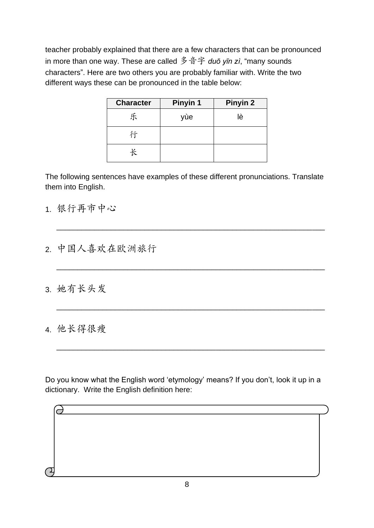teacher probably explained that there are a few characters that can be pronounced in more than one way. These are called 多音字 *duō yīn zì*, "many sounds characters". Here are two others you are probably familiar with. Write the two different ways these can be pronounced in the table below:

| <b>Character</b> | Pinyin 1 | Pinyin 2 |
|------------------|----------|----------|
| 乐                | yùe      | lè       |
| 行                |          |          |
|                  |          |          |

The following sentences have examples of these different pronunciations. Translate them into English.

\_\_\_\_\_\_\_\_\_\_\_\_\_\_\_\_\_\_\_\_\_\_\_\_\_\_\_\_\_\_\_\_\_\_\_\_\_\_\_\_\_\_\_\_\_\_\_\_\_\_\_\_\_\_\_\_\_\_\_\_\_\_\_\_

\_\_\_\_\_\_\_\_\_\_\_\_\_\_\_\_\_\_\_\_\_\_\_\_\_\_\_\_\_\_\_\_\_\_\_\_\_\_\_\_\_\_\_\_\_\_\_\_\_\_\_\_\_\_\_\_\_\_\_\_\_\_\_\_

\_\_\_\_\_\_\_\_\_\_\_\_\_\_\_\_\_\_\_\_\_\_\_\_\_\_\_\_\_\_\_\_\_\_\_\_\_\_\_\_\_\_\_\_\_\_\_\_\_\_\_\_\_\_\_\_\_\_\_\_\_\_\_\_

\_\_\_\_\_\_\_\_\_\_\_\_\_\_\_\_\_\_\_\_\_\_\_\_\_\_\_\_\_\_\_\_\_\_\_\_\_\_\_\_\_\_\_\_\_\_\_\_\_\_\_\_\_\_\_\_\_\_\_\_\_\_\_\_

- 1. 银行再市中心
- 2. 中国人喜欢在欧洲旅行
- 3. 她有长头发
- 4. 他长得很瘦

Do you know what the English word 'etymology' means? If you don't, look it up in a dictionary. Write the English definition here:

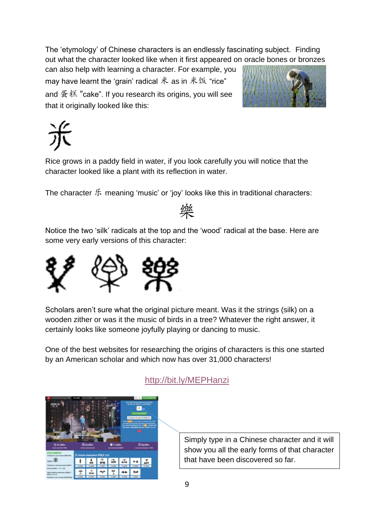The 'etymology' of Chinese characters is an endlessly fascinating subject. Finding out what the character looked like when it first appeared on oracle bones or bronzes

can also help with learning a character. For example, you may have learnt the 'grain' radical  $*$  as in  $*$   $*$  "rice" and  $\mathcal{L}$ 糕 "cake". If you research its origins, you will see that it originally looked like this:



Rice grows in a paddy field in water, if you look carefully you will notice that the character looked like a plant with its reflection in water.

The character  $\mathfrak K$  meaning 'music' or 'joy' looks like this in traditional characters:



Notice the two 'silk' radicals at the top and the 'wood' radical at the base. Here are some very early versions of this character:



Scholars aren't sure what the original picture meant. Was it the strings (silk) on a wooden zither or was it the music of birds in a tree? Whatever the right answer, it certainly looks like someone joyfully playing or dancing to music.

One of the best websites for researching the origins of characters is this one started by an American scholar and which now has over 31,000 characters!



<http://bit.ly/MEPHanzi>

Simply type in a Chinese character and it will show you all the early forms of that character that have been discovered so far.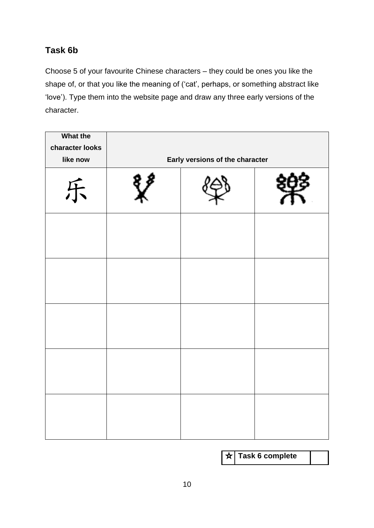#### **Task 6b**

Choose 5 of your favourite Chinese characters – they could be ones you like the shape of, or that you like the meaning of ('cat', perhaps, or something abstract like 'love'). Type them into the website page and draw any three early versions of the character.

| <b>What the</b><br>character looks<br>like now | Early versions of the character |  |
|------------------------------------------------|---------------------------------|--|
| 乐                                              |                                 |  |
|                                                |                                 |  |
|                                                |                                 |  |
|                                                |                                 |  |
|                                                |                                 |  |
|                                                |                                 |  |

| $\star$ Task 6 complete |
|-------------------------|
|                         |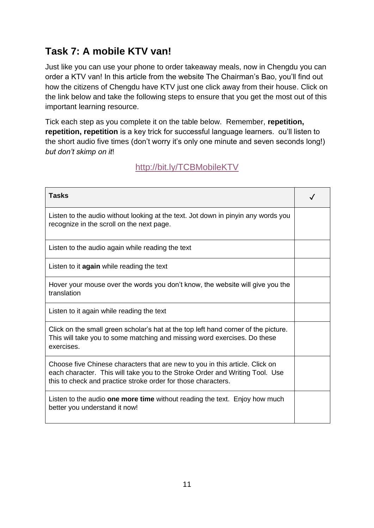## **Task 7: A mobile KTV van!**

Just like you can use your phone to order takeaway meals, now in Chengdu you can order a KTV van! In this article from the website The Chairman's Bao, you'll find out how the citizens of Chengdu have KTV just one click away from their house. Click on the link below and take the following steps to ensure that you get the most out of this important learning resource.

Tick each step as you complete it on the table below. Remember, **repetition, repetition, repetition** is a key trick for successful language learners. ou'll listen to the short audio five times (don't worry it's only one minute and seven seconds long!) *but don't skimp on it*!

#### <http://bit.ly/TCBMobileKTV>

| <b>Tasks</b>                                                                                                                                                                                                                  |  |
|-------------------------------------------------------------------------------------------------------------------------------------------------------------------------------------------------------------------------------|--|
| Listen to the audio without looking at the text. Jot down in pinyin any words you<br>recognize in the scroll on the next page.                                                                                                |  |
| Listen to the audio again while reading the text                                                                                                                                                                              |  |
| Listen to it <b>again</b> while reading the text                                                                                                                                                                              |  |
| Hover your mouse over the words you don't know, the website will give you the<br>translation                                                                                                                                  |  |
| Listen to it again while reading the text                                                                                                                                                                                     |  |
| Click on the small green scholar's hat at the top left hand corner of the picture.<br>This will take you to some matching and missing word exercises. Do these<br>exercises.                                                  |  |
| Choose five Chinese characters that are new to you in this article. Click on<br>each character. This will take you to the Stroke Order and Writing Tool. Use<br>this to check and practice stroke order for those characters. |  |
| Listen to the audio one more time without reading the text. Enjoy how much<br>better you understand it now!                                                                                                                   |  |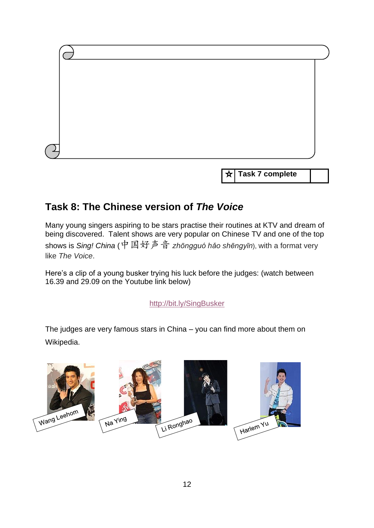

**Task 7 complete** ☆

#### **Task 8: The Chinese version of** *The Voice*

Many young singers aspiring to be stars practise their routines at KTV and dream of being discovered. Talent shows are very popular on Chinese TV and one of the top shows is *Sing! China* (中国好声音 *zhōngguó hǎo shēngyīn*), with a format very like *The Voice*.

Here's a clip of a young busker trying his luck before the judges: (watch between 16.39 and 29.09 on the Youtube link below)

<http://bit.ly/SingBusker>

The judges are very famous stars in China – you can find more about them on Wikipedia.

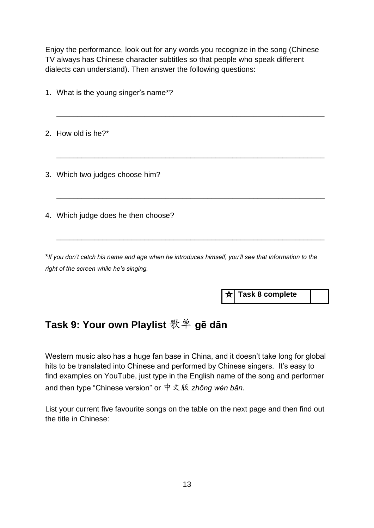Enjoy the performance, look out for any words you recognize in the song (Chinese TV always has Chinese character subtitles so that people who speak different dialects can understand). Then answer the following questions:

| 1. What is the young singer's name*?                                                                |
|-----------------------------------------------------------------------------------------------------|
| 2. How old is he?*                                                                                  |
| 3. Which two judges choose him?                                                                     |
| 4. Which judge does he then choose?                                                                 |
| *If you don't catch his name and age when he introduces himself, you'll see that information to the |

*right of the screen while he's singing.*

**Task 8 complete**

## **Task 9: Your own Playlist** 歌单 **gē dān**

Western music also has a huge fan base in China, and it doesn't take long for global hits to be translated into Chinese and performed by Chinese singers. It's easy to find examples on YouTube, just type in the English name of the song and performer and then type "Chinese version" or 中文版 *zhōng wén bǎn*.

List your current five favourite songs on the table on the next page and then find out the title in Chinese: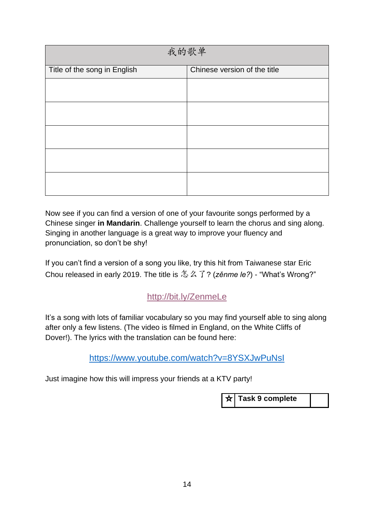| 我的歌单                         |                              |  |  |
|------------------------------|------------------------------|--|--|
| Title of the song in English | Chinese version of the title |  |  |
|                              |                              |  |  |
|                              |                              |  |  |
|                              |                              |  |  |
|                              |                              |  |  |
|                              |                              |  |  |

Now see if you can find a version of one of your favourite songs performed by a Chinese singer **in Mandarin**. Challenge yourself to learn the chorus and sing along. Singing in another language is a great way to improve your fluency and pronunciation, so don't be shy!

If you can't find a version of a song you like, try this hit from Taiwanese star Eric Chou released in early 2019. The title is 怎么了? (*zěnme le?*) - "What's Wrong?"

#### <http://bit.ly/ZenmeLe>

It's a song with lots of familiar vocabulary so you may find yourself able to sing along after only a few listens. (The video is filmed in England, on the White Cliffs of Dover!). The lyrics with the translation can be found here:

<https://www.youtube.com/watch?v=8YSXJwPuNsI>

Just imagine how this will impress your friends at a KTV party!

**Task 9 complete**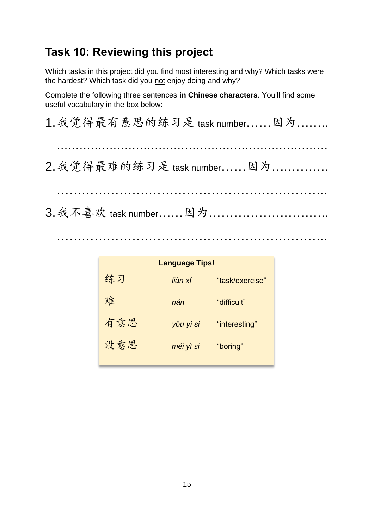# **Task 10: Reviewing this project**

Which tasks in this project did you find most interesting and why? Which tasks were the hardest? Which task did you not enjoy doing and why?

Complete the following three sentences **in Chinese characters**. You'll find some useful vocabulary in the box below:

|  | 1. 我觉得最有意思的练习是 task number 因为 |  |
|--|-------------------------------|--|
|  |                               |  |
|  | 2. 我觉得最难的练习是 task number 因为   |  |
|  |                               |  |
|  |                               |  |
|  |                               |  |

………………………………………………………..

| <b>Language Tips!</b> |           |                 |  |  |
|-----------------------|-----------|-----------------|--|--|
| 练习                    | liàn xí   | "task/exercise" |  |  |
| 难                     | nán       | "difficult"     |  |  |
| 有意思                   | yŏu yì si | "interesting"   |  |  |
| 没意思                   | méi yì si | "boring"        |  |  |